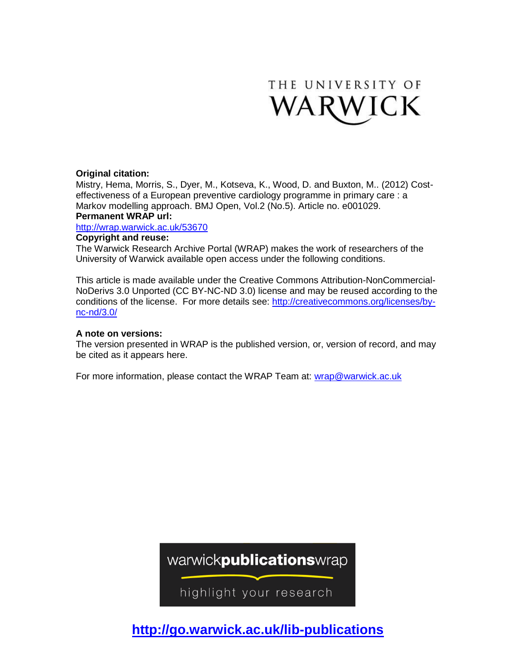

### **Original citation:**

Mistry, Hema, Morris, S., Dyer, M., Kotseva, K., Wood, D. and Buxton, M.. (2012) Costeffectiveness of a European preventive cardiology programme in primary care : a Markov modelling approach. BMJ Open, Vol.2 (No.5). Article no. e001029.

### **Permanent WRAP url:**

<http://wrap.warwick.ac.uk/53670>

### **Copyright and reuse:**

The Warwick Research Archive Portal (WRAP) makes the work of researchers of the University of Warwick available open access under the following conditions.

This article is made available under the Creative Commons Attribution-NonCommercial-NoDerivs 3.0 Unported (CC BY-NC-ND 3.0) license and may be reused according to the conditions of the license. For more details see: [http://creativecommons.org/licenses/by](http://creativecommons.org/licenses/by-nc-nd/3.0/)[nc-nd/3.0/](http://creativecommons.org/licenses/by-nc-nd/3.0/)

### **A note on versions:**

The version presented in WRAP is the published version, or, version of record, and may be cited as it appears here.

For more information, please contact the WRAP Team at: [wrap@warwick.ac.uk](mailto:wrap@warwick.ac.uk)

warwickpublicationswrap

highlight your research

**http://go.warwick.ac.uk/lib-publications**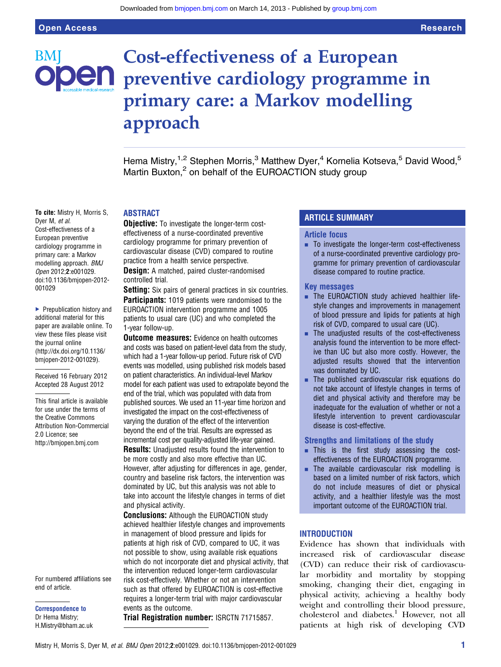# Cost-effectiveness of a European **Den** preventive cardiology programme in primary care: a Markov modelling approach

Hema Mistry,<sup>1,2</sup> Stephen Morris,<sup>3</sup> Matthew Dyer,<sup>4</sup> Kornelia Kotseva,<sup>5</sup> David Wood,<sup>5</sup> Martin Buxton,<sup>2</sup> on behalf of the EUROACTION study group

#### To cite: Mistry H, Morris S, Dyer M, et al. Cost-effectiveness of a European preventive cardiology programme in primary care: a Markov modelling approach. BMJ Open 2012;2:e001029. doi:10.1136/bmjopen-2012- 001029

▶ Prepublication history and additional material for this paper are available online. To view these files please visit the journal online [\(http://dx.doi.org/10.1136/](http://dx.doi.org/10.1136/bmjopen-2012-001029) [bmjopen-2012-001029](http://dx.doi.org/10.1136/bmjopen-2012-001029)).

Received 16 February 2012 Accepted 28 August 2012

This final article is available for use under the terms of the Creative Commons Attribution Non-Commercial 2.0 Licence; see <http://bmjopen.bmj.com>

For numbered affiliations see end of article.

Correspondence to Dr Hema Mistry; H.Mistry@bham.ac.uk

### ABSTRACT

**Objective:** To investigate the longer-term costeffectiveness of a nurse-coordinated preventive cardiology programme for primary prevention of cardiovascular disease (CVD) compared to routine practice from a health service perspective.

**Design:** A matched, paired cluster-randomised controlled trial.

**Setting:** Six pairs of general practices in six countries. **Participants:** 1019 patients were randomised to the EUROACTION intervention programme and 1005 patients to usual care (UC) and who completed the 1-year follow-up.

**Outcome measures:** Evidence on health outcomes and costs was based on patient-level data from the study, which had a 1-year follow-up period. Future risk of CVD events was modelled, using published risk models based on patient characteristics. An individual-level Markov model for each patient was used to extrapolate beyond the end of the trial, which was populated with data from published sources. We used an 11-year time horizon and investigated the impact on the cost-effectiveness of varying the duration of the effect of the intervention beyond the end of the trial. Results are expressed as incremental cost per quality-adjusted life-year gained.

**Results:** Unadjusted results found the intervention to be more costly and also more effective than UC. However, after adjusting for differences in age, gender, country and baseline risk factors, the intervention was dominated by UC, but this analysis was not able to take into account the lifestyle changes in terms of diet and physical activity.

**Conclusions:** Although the EUROACTION study achieved healthier lifestyle changes and improvements in management of blood pressure and lipids for patients at high risk of CVD, compared to UC, it was not possible to show, using available risk equations which do not incorporate diet and physical activity, that the intervention reduced longer-term cardiovascular risk cost-effectively. Whether or not an intervention such as that offered by EUROACTION is cost-effective requires a longer-term trial with major cardiovascular events as the outcome.

Trial Registration number: ISRCTN 71715857.

### ARTICLE SUMMARY

#### Article focus

■ To investigate the longer-term cost-effectiveness of a nurse-coordinated preventive cardiology programme for primary prevention of cardiovascular disease compared to routine practice.

#### Key messages

- **EXECUARE THE EUROACTION study achieved healthier life**style changes and improvements in management of blood pressure and lipids for patients at high risk of CVD, compared to usual care (UC).
- The unadiusted results of the cost-effectiveness analysis found the intervention to be more effective than UC but also more costly. However, the adjusted results showed that the intervention was dominated by UC.
- $\blacksquare$  The published cardiovascular risk equations do not take account of lifestyle changes in terms of diet and physical activity and therefore may be inadequate for the evaluation of whether or not a lifestyle intervention to prevent cardiovascular disease is cost-effective.

### Strengths and limitations of the study

- **. This is the first study assessing the cost**effectiveness of the EUROACTION programme.
- The available cardiovascular risk modelling is based on a limited number of risk factors, which do not include measures of diet or physical activity, and a healthier lifestyle was the most important outcome of the EUROACTION trial.

### **INTRODUCTION**

Evidence has shown that individuals with increased risk of cardiovascular disease (CVD) can reduce their risk of cardiovascular morbidity and mortality by stopping smoking, changing their diet, engaging in physical activity, achieving a healthy body weight and controlling their blood pressure, cholesterol and diabetes.<sup>1</sup> However, not all patients at high risk of developing CVD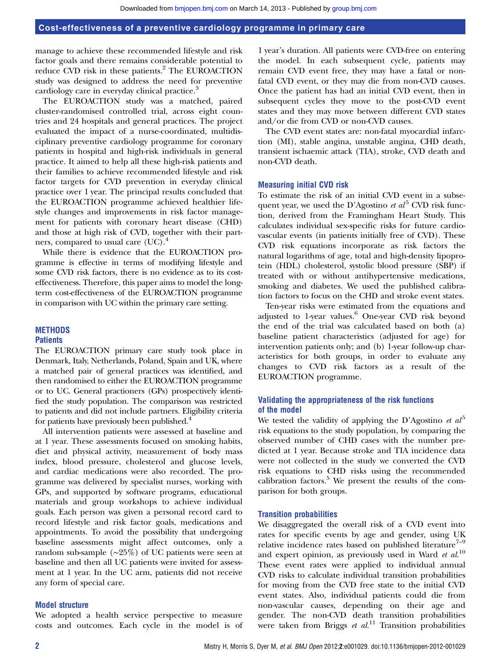manage to achieve these recommended lifestyle and risk factor goals and there remains considerable potential to reduce CVD risk in these patients.<sup>2</sup> The EUROACTION study was designed to address the need for preventive cardiology care in everyday clinical practice.<sup>3</sup>

The EUROACTION study was a matched, paired cluster-randomised controlled trial, across eight countries and 24 hospitals and general practices. The project evaluated the impact of a nurse-coordinated, multidisciplinary preventive cardiology programme for coronary patients in hospital and high-risk individuals in general practice. It aimed to help all these high-risk patients and their families to achieve recommended lifestyle and risk factor targets for CVD prevention in everyday clinical practice over 1 year. The principal results concluded that the EUROACTION programme achieved healthier lifestyle changes and improvements in risk factor management for patients with coronary heart disease (CHD) and those at high risk of CVD, together with their partners, compared to usual care  $(UC).$ <sup>4</sup>

While there is evidence that the EUROACTION programme is effective in terms of modifying lifestyle and some CVD risk factors, there is no evidence as to its costeffectiveness. Therefore, this paper aims to model the longterm cost-effectiveness of the EUROACTION programme in comparison with UC within the primary care setting.

### **METHODS**

### **Patients**

The EUROACTION primary care study took place in Denmark, Italy, Netherlands, Poland, Spain and UK, where a matched pair of general practices was identified, and then randomised to either the EUROACTION programme or to UC. General practioners (GPs) prospectively identified the study population. The comparison was restricted to patients and did not include partners. Eligibility criteria for patients have previously been published.<sup>4</sup>

All intervention patients were assessed at baseline and at 1 year. These assessments focused on smoking habits, diet and physical activity, measurement of body mass index, blood pressure, cholesterol and glucose levels, and cardiac medications were also recorded. The programme was delivered by specialist nurses, working with GPs, and supported by software programs, educational materials and group workshops to achieve individual goals. Each person was given a personal record card to record lifestyle and risk factor goals, medications and appointments. To avoid the possibility that undergoing baseline assessments might affect outcomes, only a random sub-sample (∼25%) of UC patients were seen at baseline and then all UC patients were invited for assessment at 1 year. In the UC arm, patients did not receive any form of special care.

### Model structure

We adopted a health service perspective to measure costs and outcomes. Each cycle in the model is of

1 year's duration. All patients were CVD-free on entering the model. In each subsequent cycle, patients may remain CVD event free, they may have a fatal or nonfatal CVD event, or they may die from non-CVD causes. Once the patient has had an initial CVD event, then in subsequent cycles they move to the post-CVD event states and they may move between different CVD states and/or die from CVD or non-CVD causes.

The CVD event states are: non-fatal myocardial infarction (MI), stable angina, unstable angina, CHD death, transient ischaemic attack (TIA), stroke, CVD death and non-CVD death.

### Measuring initial CVD risk

To estimate the risk of an initial CVD event in a subsequent year, we used the D'Agostino et  $al<sup>5</sup>$  CVD risk function, derived from the Framingham Heart Study. This calculates individual sex-specific risks for future cardiovascular events (in patients initially free of CVD). These CVD risk equations incorporate as risk factors the natural logarithms of age, total and high-density lipoprotein (HDL) cholesterol, systolic blood pressure (SBP) if treated with or without antihypertensive medications, smoking and diabetes. We used the published calibration factors to focus on the CHD and stroke event states.

Ten-year risks were estimated from the equations and adjusted to 1-year values.<sup>6</sup> One-year CVD risk beyond the end of the trial was calculated based on both (a) baseline patient characteristics (adjusted for age) for intervention patients only; and (b) 1-year follow-up characteristics for both groups, in order to evaluate any changes to CVD risk factors as a result of the EUROACTION programme.

### Validating the appropriateness of the risk functions of the model

We tested the validity of applying the D'Agostino et  $al<sup>5</sup>$ risk equations to the study population, by comparing the observed number of CHD cases with the number predicted at 1 year. Because stroke and TIA incidence data were not collected in the study we converted the CVD risk equations to CHD risks using the recommended calibration factors.<sup>5</sup> We present the results of the comparison for both groups.

### Transition probabilities

We disaggregated the overall risk of a CVD event into rates for specific events by age and gender, using UK relative incidence rates based on published literature<sup>7-9</sup> and expert opinion, as previously used in Ward et  $al$ <sup>10</sup> These event rates were applied to individual annual CVD risks to calculate individual transition probabilities for moving from the CVD free state to the initial CVD event states. Also, individual patients could die from non-vascular causes, depending on their age and gender. The non-CVD death transition probabilities were taken from Briggs  $et al.<sup>11</sup>$  Transition probabilities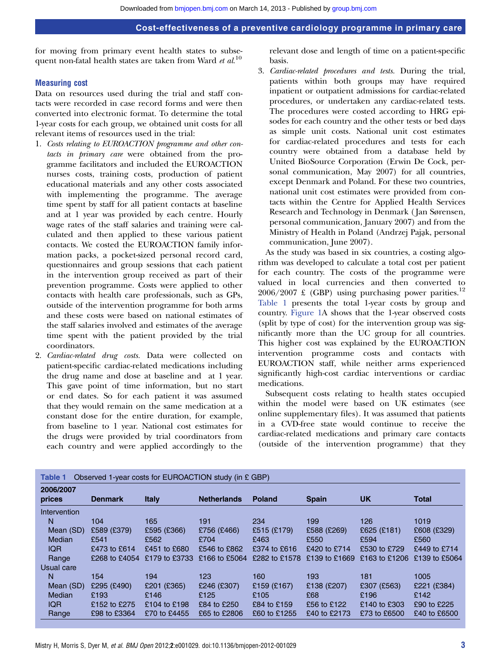for moving from primary event health states to subsequent non-fatal health states are taken from Ward et  $al$ <sup>10</sup>

### Measuring cost

Data on resources used during the trial and staff contacts were recorded in case record forms and were then converted into electronic format. To determine the total 1-year costs for each group, we obtained unit costs for all relevant items of resources used in the trial:

- 1. Costs relating to EUROACTION programme and other contacts in primary care were obtained from the programme facilitators and included the EUROACTION nurses costs, training costs, production of patient educational materials and any other costs associated with implementing the programme. The average time spent by staff for all patient contacts at baseline and at 1 year was provided by each centre. Hourly wage rates of the staff salaries and training were calculated and then applied to these various patient contacts. We costed the EUROACTION family information packs, a pocket-sized personal record card, questionnaires and group sessions that each patient in the intervention group received as part of their prevention programme. Costs were applied to other contacts with health care professionals, such as GPs, outside of the intervention programme for both arms and these costs were based on national estimates of the staff salaries involved and estimates of the average time spent with the patient provided by the trial coordinators.
- 2. Cardiac-related drug costs. Data were collected on patient-specific cardiac-related medications including the drug name and dose at baseline and at 1 year. This gave point of time information, but no start or end dates. So for each patient it was assumed that they would remain on the same medication at a constant dose for the entire duration, for example, from baseline to 1 year. National cost estimates for the drugs were provided by trial coordinators from each country and were applied accordingly to the

relevant dose and length of time on a patient-specific basis.

3. Cardiac-related procedures and tests. During the trial, patients within both groups may have required inpatient or outpatient admissions for cardiac-related procedures, or undertaken any cardiac-related tests. The procedures were costed according to HRG episodes for each country and the other tests or bed days as simple unit costs. National unit cost estimates for cardiac-related procedures and tests for each country were obtained from a database held by United BioSource Corporation (Erwin De Cock, personal communication, May 2007) for all countries, except Denmark and Poland. For these two countries, national unit cost estimates were provided from contacts within the Centre for Applied Health Services Research and Technology in Denmark ( Jan Sørensen, personal communication, January 2007) and from the Ministry of Health in Poland (Andrzej Pająk, personal communication, June 2007).

As the study was based in six countries, a costing algorithm was developed to calculate a total cost per patient for each country. The costs of the programme were valued in local currencies and then converted to  $2006/2007 \text{ \pounds}$  (GBP) using purchasing power parities.<sup>12</sup> Table 1 presents the total 1-year costs by group and country. Figure 1A shows that the 1-year observed costs (split by type of cost) for the intervention group was significantly more than the UC group for all countries. This higher cost was explained by the EUROACTION intervention programme costs and contacts with EUROACTION staff, while neither arms experienced significantly high-cost cardiac interventions or cardiac medications.

Subsequent costs relating to health states occupied within the model were based on UK estimates (see online supplementary files). It was assumed that patients in a CVD-free state would continue to receive the cardiac-related medications and primary care contacts (outside of the intervention programme) that they

| Observed 1-year costs for EUROACTION study (in £ GBP)<br><b>Table 1</b> |                |               |                    |               |               |               |               |
|-------------------------------------------------------------------------|----------------|---------------|--------------------|---------------|---------------|---------------|---------------|
| 2006/2007<br>prices                                                     | <b>Denmark</b> | <b>Italy</b>  | <b>Netherlands</b> | <b>Poland</b> | <b>Spain</b>  | <b>UK</b>     | <b>Total</b>  |
| Intervention                                                            |                |               |                    |               |               |               |               |
| N                                                                       | 104            | 165           | 191                | 234           | 199           | 126           | 1019          |
| Mean (SD)                                                               | £589 (£379)    | £595 (£366)   | £756 (£466)        | £515 (£179)   | £588 (£269)   | £625 (£181)   | £608 (£329)   |
| Median                                                                  | £541           | £562          | £704               | £463          | £550          | £594          | £560          |
| <b>IQR</b>                                                              | £473 to £614   | £451 to £680  | £546 to £862       | £374 to £616  | £420 to £714  | £530 to £729  | £449 to £714  |
| Range                                                                   | £268 to £4054  | £179 to £3733 | £166 to £5064      | £282 to £1578 | £139 to £1669 | £163 to £1206 | £139 to £5064 |
| Usual care                                                              |                |               |                    |               |               |               |               |
| N                                                                       | 154            | 194           | 123                | 160           | 193           | 181           | 1005          |
| Mean (SD)                                                               | £295 (£490)    | £201 (£365)   | £246 (£307)        | £159 (£167)   | £138 (£207)   | £307 (£563)   | £221 (£384)   |
| Median                                                                  | £193           | £146          | £125               | £105          | £68           | £196          | £142          |
| <b>IQR</b>                                                              | £152 to £275   | £104 to £198  | £84 to £250        | £84 to £159   | £56 to £122   | £140 to £303  | £90 to £225   |
| Range                                                                   | £98 to £3364   | £70 to £4455  | £65 to £2806       | £60 to £1255  | £40 to £2173  | £73 to £6500  | £40 to £6500  |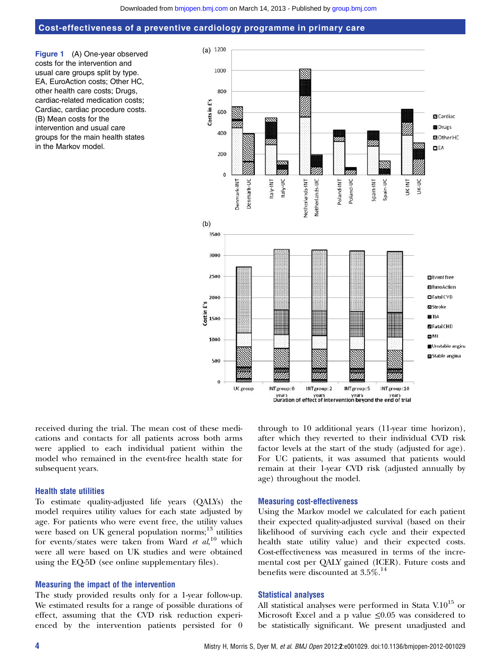Figure 1 (A) One-year observed costs for the intervention and usual care groups split by type. EA, EuroAction costs; Other HC, other health care costs; Drugs, cardiac-related medication costs; Cardiac, cardiac procedure costs. (B) Mean costs for the intervention and usual care groups for the main health states in the Markov model.



received during the trial. The mean cost of these medications and contacts for all patients across both arms were applied to each individual patient within the model who remained in the event-free health state for subsequent years.

### Health state utilities

To estimate quality-adjusted life years (QALYs) the model requires utility values for each state adjusted by age. For patients who were event free, the utility values were based on UK general population norms;<sup>13</sup> utilities for events/states were taken from Ward et  $al$ ,<sup>10</sup> which were all were based on UK studies and were obtained using the EQ-5D (see online supplementary files).

### Measuring the impact of the intervention

The study provided results only for a 1-year follow-up. We estimated results for a range of possible durations of effect, assuming that the CVD risk reduction experienced by the intervention patients persisted for 0

through to 10 additional years (11-year time horizon), after which they reverted to their individual CVD risk factor levels at the start of the study (adjusted for age). For UC patients, it was assumed that patients would remain at their 1-year CVD risk (adjusted annually by age) throughout the model.

### Measuring cost-effectiveness

Using the Markov model we calculated for each patient their expected quality-adjusted survival (based on their likelihood of surviving each cycle and their expected health state utility value) and their expected costs. Cost-effectiveness was measured in terms of the incremental cost per QALY gained (ICER). Future costs and benefits were discounted at  $3.5\%$ .<sup>14</sup>

#### Statistical analyses

All statistical analyses were performed in Stata V.10 $^{15}$  or Microsoft Excel and a p value  $\leq 0.05$  was considered to be statistically significant. We present unadjusted and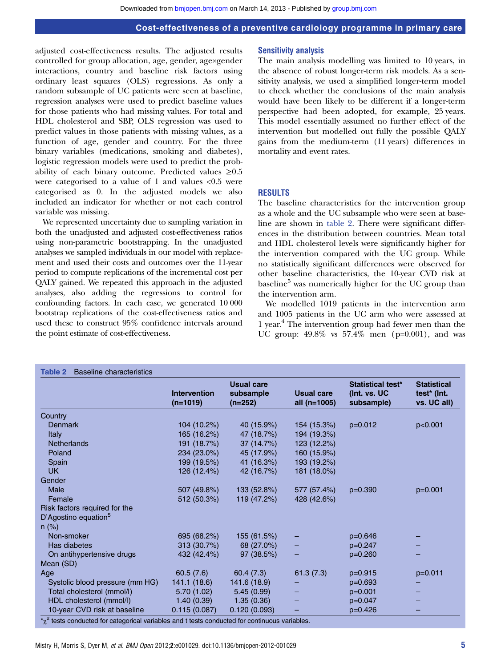adjusted cost-effectiveness results. The adjusted results controlled for group allocation, age, gender, age×gender interactions, country and baseline risk factors using ordinary least squares (OLS) regressions. As only a random subsample of UC patients were seen at baseline, regression analyses were used to predict baseline values for those patients who had missing values. For total and HDL cholesterol and SBP, OLS regression was used to predict values in those patients with missing values, as a function of age, gender and country. For the three binary variables (medications, smoking and diabetes), logistic regression models were used to predict the probability of each binary outcome. Predicted values  $\geq 0.5$ were categorised to a value of 1 and values <0.5 were categorised as 0. In the adjusted models we also included an indicator for whether or not each control variable was missing.

We represented uncertainty due to sampling variation in both the unadjusted and adjusted cost-effectiveness ratios using non-parametric bootstrapping. In the unadjusted analyses we sampled individuals in our model with replacement and used their costs and outcomes over the 11-year period to compute replications of the incremental cost per QALY gained. We repeated this approach in the adjusted analyses, also adding the regressions to control for confounding factors. In each case, we generated 10 000 bootstrap replications of the cost-effectiveness ratios and used these to construct 95% confidence intervals around the point estimate of cost-effectiveness.

### Sensitivity analysis

The main analysis modelling was limited to 10 years, in the absence of robust longer-term risk models. As a sensitivity analysis, we used a simplified longer-term model to check whether the conclusions of the main analysis would have been likely to be different if a longer-term perspective had been adopted, for example, 25 years. This model essentially assumed no further effect of the intervention but modelled out fully the possible QALY gains from the medium-term (11 years) differences in mortality and event rates.

### RESULTS

The baseline characteristics for the intervention group as a whole and the UC subsample who were seen at baseline are shown in table 2. There were significant differences in the distribution between countries. Mean total and HDL cholesterol levels were significantly higher for the intervention compared with the UC group. While no statistically significant differences were observed for other baseline characteristics, the 10-year CVD risk at baseline<sup>5</sup> was numerically higher for the UC group than the intervention arm.

We modelled 1019 patients in the intervention arm and 1005 patients in the UC arm who were assessed at 1 year.4 The intervention group had fewer men than the UC group: 49.8% vs 57.4% men (p=0.001), and was

|                                  | <b>Intervention</b><br>$(n=1019)$ | <b>Usual care</b><br>subsample<br>$(n=252)$ | <b>Usual care</b><br>all (n=1005) | Statistical test*<br>(Int. vs. UC<br>subsample) | <b>Statistical</b><br>test <sup>*</sup> (Int.<br>vs. UC all) |
|----------------------------------|-----------------------------------|---------------------------------------------|-----------------------------------|-------------------------------------------------|--------------------------------------------------------------|
| Country                          |                                   |                                             |                                   |                                                 |                                                              |
| <b>Denmark</b>                   | 104 (10.2%)                       | 40 (15.9%)                                  | 154 (15.3%)                       | $p=0.012$                                       | p<0.001                                                      |
| Italy                            | 165 (16.2%)                       | 47 (18.7%)                                  | 194 (19.3%)                       |                                                 |                                                              |
| <b>Netherlands</b>               | 191 (18.7%)                       | 37(14.7%)                                   | 123 (12.2%)                       |                                                 |                                                              |
| Poland                           | 234 (23.0%)                       | 45 (17.9%)                                  | 160 (15.9%)                       |                                                 |                                                              |
| Spain                            | 199 (19.5%)                       | 41 (16.3%)                                  | 193 (19.2%)                       |                                                 |                                                              |
| <b>UK</b>                        | 126 (12.4%)                       | 42 (16.7%)                                  | 181 (18.0%)                       |                                                 |                                                              |
| Gender                           |                                   |                                             |                                   |                                                 |                                                              |
| Male                             | 507 (49.8%)                       | 133 (52.8%)                                 | 577 (57.4%)                       | $p=0.390$                                       | $p=0.001$                                                    |
| Female                           | 512 (50.3%)                       | 119 (47.2%)                                 | 428 (42.6%)                       |                                                 |                                                              |
| Risk factors required for the    |                                   |                                             |                                   |                                                 |                                                              |
| D'Agostino equation <sup>5</sup> |                                   |                                             |                                   |                                                 |                                                              |
| $n$ (%)                          |                                   |                                             |                                   |                                                 |                                                              |
| Non-smoker                       | 695 (68.2%)                       | 155 (61.5%)                                 |                                   | $p=0.646$                                       |                                                              |
| Has diabetes                     | 313 (30.7%)                       | 68 (27.0%)                                  |                                   | $p=0.247$                                       |                                                              |
| On antihypertensive drugs        | 432 (42.4%)                       | 97(38.5%)                                   |                                   | $p=0.260$                                       |                                                              |
| Mean (SD)                        |                                   |                                             |                                   |                                                 |                                                              |
| Age                              | 60.5(7.6)                         | 60.4(7.3)                                   | 61.3(7.3)                         | p=0.915                                         | $p=0.011$                                                    |
| Systolic blood pressure (mm HG)  | 141.1 (18.6)                      | 141.6 (18.9)                                |                                   | $p=0.693$                                       |                                                              |
| Total cholesterol (mmol/l)       | 5.70 (1.02)                       | 5.45(0.99)                                  |                                   | $p=0.001$                                       |                                                              |
| HDL cholesterol (mmol/l)         | 1.40(0.39)                        | 1.35(0.36)                                  |                                   | $p=0.047$                                       |                                                              |
| 10-year CVD risk at baseline     | 0.115(0.087)                      | 0.120(0.093)                                |                                   | $p=0.426$                                       |                                                              |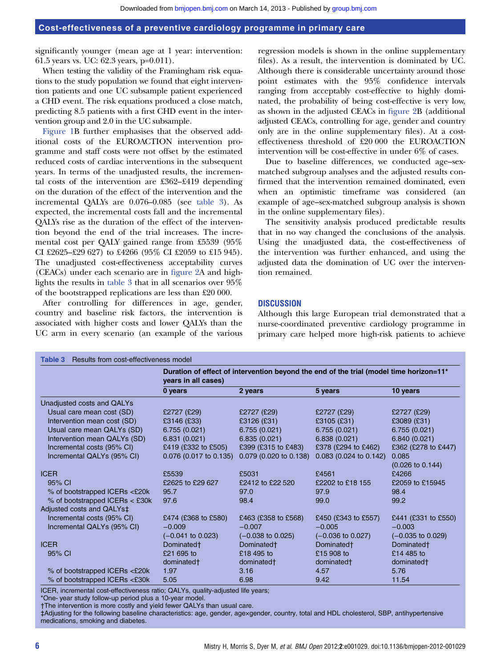significantly younger (mean age at 1 year: intervention: 61.5 years vs. UC: 62.3 years, p=0.011).

When testing the validity of the Framingham risk equations to the study population we found that eight intervention patients and one UC subsample patient experienced a CHD event. The risk equations produced a close match, predicting 8.5 patients with a first CHD event in the intervention group and 2.0 in the UC subsample.

Figure 1B further emphasises that the observed additional costs of the EUROACTION intervention programme and staff costs were not offset by the estimated reduced costs of cardiac interventions in the subsequent years. In terms of the unadjusted results, the incremental costs of the intervention are £362–£419 depending on the duration of the effect of the intervention and the incremental QALYs are 0.076–0.085 (see table 3). As expected, the incremental costs fall and the incremental QALYs rise as the duration of the effect of the intervention beyond the end of the trial increases. The incremental cost per QALY gained range from £5539 (95% CI £2625–£29 627) to £4266 (95% CI £2059 to £15 945). The unadjusted cost-effectiveness acceptability curves (CEACs) under each scenario are in figure 2A and highlights the results in table 3 that in all scenarios over 95% of the bootstrapped replications are less than £20 000.

After controlling for differences in age, gender, country and baseline risk factors, the intervention is associated with higher costs and lower QALYs than the UC arm in every scenario (an example of the various

regression models is shown in the online supplementary files). As a result, the intervention is dominated by UC. Although there is considerable uncertainty around those point estimates with the 95% confidence intervals ranging from acceptably cost-effective to highly dominated, the probability of being cost-effective is very low, as shown in the adjusted CEACs in figure 2B (additional adjusted CEACs, controlling for age, gender and country only are in the online supplementary files). At a costeffectiveness threshold of £20 000 the EUROACTION intervention will be cost-effective in under 6% of cases.

Due to baseline differences, we conducted age–sexmatched subgroup analyses and the adjusted results confirmed that the intervention remained dominated, even when an optimistic timeframe was considered (an example of age–sex-matched subgroup analysis is shown in the online supplementary files).

The sensitivity analysis produced predictable results that in no way changed the conclusions of the analysis. Using the unadjusted data, the cost-effectiveness of the intervention was further enhanced, and using the adjusted data the domination of UC over the intervention remained.

### **DISCUSSION**

Although this large European trial demonstrated that a nurse-coordinated preventive cardiology programme in primary care helped more high-risk patients to achieve

|                                | Duration of effect of intervention beyond the end of the trial (model time horizon=11 <sup>*</sup><br>years in all cases) |                              |                              |                              |  |
|--------------------------------|---------------------------------------------------------------------------------------------------------------------------|------------------------------|------------------------------|------------------------------|--|
|                                | 0 years                                                                                                                   | 2 years                      | 5 years                      | 10 years                     |  |
| Unadjusted costs and QALYs     |                                                                                                                           |                              |                              |                              |  |
| Usual care mean cost (SD)      | £2727 (£29)                                                                                                               | £2727 (£29)                  | £2727 (£29)                  | £2727 (£29)                  |  |
| Intervention mean cost (SD)    | £3146 (£33)                                                                                                               | £3126 (£31)                  | £3105 (£31)                  | £3089 (£31)                  |  |
| Usual care mean QALYs (SD)     | 6.755(0.021)                                                                                                              | 6.755(0.021)                 | 6.755(0.021)                 | 6.755(0.021)                 |  |
| Intervention mean QALYs (SD)   | 6.831(0.021)                                                                                                              | 6.835(0.021)                 | 6.838(0.021)                 | 6.840 (0.021)                |  |
| Incremental costs (95% CI)     | £419 (£332 to £505)                                                                                                       | £399 (£315 to £483)          | £378 (£294 to £462)          | £362 (£278 to £447)          |  |
| Incremental QALYs (95% CI)     | 0.076 (0.017 to 0.135)                                                                                                    | 0.079 (0.020 to 0.138)       | 0.083 (0.024 to 0.142)       | 0.085                        |  |
|                                |                                                                                                                           |                              |                              | $(0.026 \text{ to } 0.144)$  |  |
| <b>ICER</b>                    | £5539                                                                                                                     | £5031                        | £4561                        | £4266                        |  |
| 95% CI                         | £2625 to £29 627                                                                                                          | £2412 to £22 520             | £2202 to £18 155             | £2059 to £15945              |  |
| % of bootstrapped ICERs <£20k  | 95.7                                                                                                                      | 97.0                         | 97.9                         | 98.4                         |  |
| % of bootstrapped ICERs < £30k | 97.6                                                                                                                      | 98.4                         | 99.0                         | 99.2                         |  |
| Adjusted costs and QALYs‡      |                                                                                                                           |                              |                              |                              |  |
| Incremental costs (95% CI)     | £474 (£368 to £580)                                                                                                       | £463 (£358 to £568)          | £450 (£343 to £557)          | £441 (£331 to £550)          |  |
| Incremental QALYs (95% CI)     | $-0.009$                                                                                                                  | $-0.007$                     | $-0.005$                     | $-0.003$                     |  |
|                                | $(-0.041 \text{ to } 0.023)$                                                                                              | $(-0.038 \text{ to } 0.025)$ | $(-0.036 \text{ to } 0.027)$ | $(-0.035 \text{ to } 0.029)$ |  |
| <b>ICFR</b>                    | Dominated <sup>+</sup>                                                                                                    | Dominated <sup>+</sup>       | Dominated <sup>+</sup>       | Dominated <sup>+</sup>       |  |
| 95% CI                         | £21 695 to                                                                                                                | £18 495 to                   | £15 908 to                   | £14 485 to                   |  |
|                                | dominated†                                                                                                                | dominated†                   | dominated†                   | dominated†                   |  |
| % of bootstrapped ICERs <£20k  | 1.97                                                                                                                      | 3.16                         | 4.57                         | 5.76                         |  |
| % of bootstrapped ICERs <£30k  | 5.05                                                                                                                      | 6.98                         | 9.42                         | 11.54                        |  |

ICER, incremental cost-effectiveness ratio; QALYs, quality-adjusted life years;

\*One- year study follow-up period plus a 10-year model.

†The intervention is more costly and yield fewer QALYs than usual care.

‡Adjusting for the following baseline characteristics: age, gender, age×gender, country, total and HDL cholesterol, SBP, antihypertensive medications, smoking and diabetes.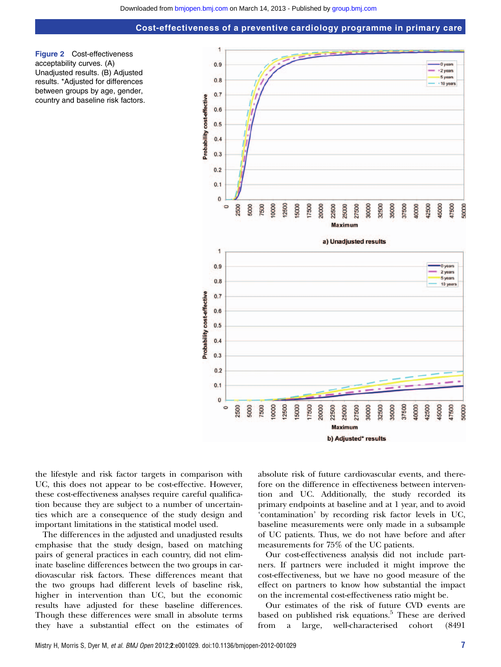



the lifestyle and risk factor targets in comparison with UC, this does not appear to be cost-effective. However, these cost-effectiveness analyses require careful qualification because they are subject to a number of uncertainties which are a consequence of the study design and important limitations in the statistical model used.

The differences in the adjusted and unadjusted results emphasise that the study design, based on matching pairs of general practices in each country, did not eliminate baseline differences between the two groups in cardiovascular risk factors. These differences meant that the two groups had different levels of baseline risk, higher in intervention than UC, but the economic results have adjusted for these baseline differences. Though these differences were small in absolute terms they have a substantial effect on the estimates of absolute risk of future cardiovascular events, and therefore on the difference in effectiveness between intervention and UC. Additionally, the study recorded its primary endpoints at baseline and at 1 year, and to avoid 'contamination' by recording risk factor levels in UC, baseline measurements were only made in a subsample of UC patients. Thus, we do not have before and after measurements for 75% of the UC patients.

Our cost-effectiveness analysis did not include partners. If partners were included it might improve the cost-effectiveness, but we have no good measure of the effect on partners to know how substantial the impact on the incremental cost-effectiveness ratio might be.

Our estimates of the risk of future CVD events are based on published risk equations.<sup>5</sup> These are derived from a large, well-characterised cohort (8491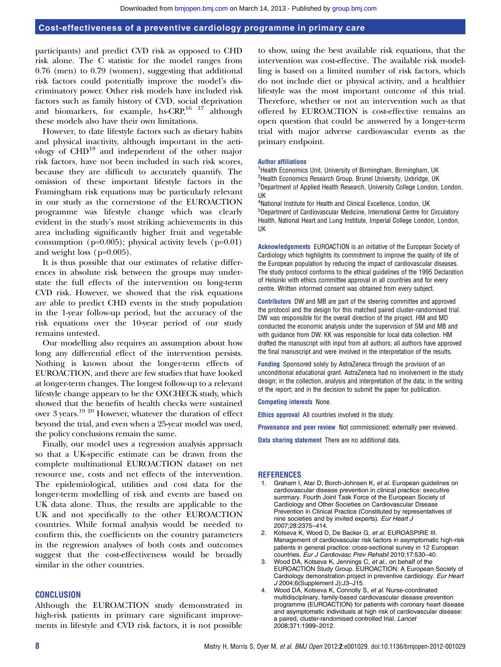participants) and predict CVD risk as opposed to CHD risk alone. The C statistic for the model ranges from 0.76 (men) to 0.79 (women), suggesting that additional risk factors could potentially improve the model's discriminatory power. Other risk models have included risk factors such as family history of CVD, social deprivation and biomarkers, for example, hs-CRP, $^{16}$  17 although these models also have their own limitations.

However, to date lifestyle factors such as dietary habits and physical inactivity, although important in the aetiology of CHD<sup>18</sup> and independent of the other major risk factors, have not been included in such risk scores, because they are difficult to accurately quantify. The omission of these important lifestyle factors in the Framingham risk equations may be particularly relevant in our study as the cornerstone of the EUROACTION programme was lifestyle change which was clearly evident in the study's most striking achievements in this area including significantly higher fruit and vegetable consumption ( $p=0.005$ ); physical activity levels ( $p=0.01$ ) and weight loss (p=0.005).

It is thus possible that our estimates of relative differences in absolute risk between the groups may understate the full effects of the intervention on long-term CVD risk. However, we showed that the risk equations are able to predict CHD events in the study population in the 1-year follow-up period, but the accuracy of the risk equations over the 10-year period of our study remains untested.

Our modelling also requires an assumption about how long any differential effect of the intervention persists. Nothing is known about the longer-term effects of EUROACTION, and there are few studies that have looked at longer-term changes. The longest follow-up to a relevant lifestyle change appears to be the OXCHECK study, which showed that the benefits of health checks were sustained over 3 years.19 20 However, whatever the duration of effect beyond the trial, and even when a 25-year model was used, the policy conclusions remain the same.

Finally, our model uses a regression analysis approach so that a UK-specific estimate can be drawn from the complete multinational EUROACTION dataset on net resource use, costs and net effects of the intervention. The epidemiological, utilities and cost data for the longer-term modelling of risk and events are based on UK data alone. Thus, the results are applicable to the UK and not specifically to the other EUROACTION countries. While formal analysis would be needed to confirm this, the coefficients on the country parameters in the regression analyses of both costs and outcomes suggest that the cost-effectiveness would be broadly similar in the other countries.

### **CONCLUSION**

Although the EUROACTION study demonstrated in high-risk patients in primary care significant improvements in lifestyle and CVD risk factors, it is not possible

to show, using the best available risk equations, that the intervention was cost-effective. The available risk modelling is based on a limited number of risk factors, which do not include diet or physical activity, and a healthier lifestyle was the most important outcome of this trial. Therefore, whether or not an intervention such as that offered by EUROACTION is cost-effective remains an open question that could be answered by a longer-term trial with major adverse cardiovascular events as the primary endpoint.

#### Author affiliations

<sup>1</sup> Health Economics Unit, University of Birmingham, Birmingham, UK <sup>2</sup> Health Economics Research Group, Brunel University, Uxbridge, UK <sup>3</sup>Department of Applied Health Research, University College London, London, UK

4 National Institute for Health and Clinical Excellence, London, UK 5 Department of Cardiovascular Medicine, International Centre for Circulatory Health, National Heart and Lung Institute, Imperial College London, London, UK

Acknowledgements EUROACTION is an initiative of the European Society of Cardiology which highlights its commitment to improve the quality of life of the European population by reducing the impact of cardiovascular diseases. The study protocol conforms to the ethical guidelines of the 1995 Declaration of Helsinki with ethics committee approval in all countries and for every centre. Written informed consent was obtained from every subject.

Contributors DW and MB are part of the steering committee and approved the protocol and the design for this matched paired cluster-randomised trial. DW was responsible for the overall direction of the project. HM and MD conducted the economic analysis under the supervision of SM and MB and with guidance from DW. KK was responsible for local data collection. HM drafted the manuscript with input from all authors; all authors have approved the final manuscript and were involved in the interpretation of the results.

Funding Sponsored solely by AstraZeneca through the provision of an unconditional educational grant. AstraZeneca had no involvement in the study design; in the collection, analysis and interpretation of the data; in the writing of the report; and in the decision to submit the paper for publication.

#### Competing interests None.

Ethics approval All countries involved in the study.

Provenance and peer review Not commissioned; externally peer reviewed.

Data sharing statement There are no additional data.

#### REFERENCES

- 1. Graham I, Atar D, Borch-Johnsen K, et al. European quidelines on cardiovascular disease prevention in clinical practice: executive summary. Fourth Joint Task Force of the European Society of Cardiology and Other Societies on Cardiovascular Disease Prevention in Clinical Practice (Constituted by representatives of nine societies and by invited experts). Eur Heart J 2007;28:2375–414.
- 2. Kotseva K, Wood D, De Backer G, et al. EUROASPIRE III. Management of cardiovascular risk factors in asymptomatic high-risk patients in general practice: cross-sectional survey in 12 European countries. Eur J Cardiovasc Prev Rehabil 2010;17:530–40.
- 3. Wood DA, Kotseva K, Jennings C, et al., on behalf of the EUROACTION Study Group. EUROACTION: A European Society of Cardiology demonstration project in preventive cardiology. Eur Heart J 2004;6(Supplement J):J3–J15.
- 4. Wood DA, Kotseva K, Connolly S, et al. Nurse-coordinated multidisciplinary, family-based cardiovascular disease prevention programme (EUROACTION) for patients with coronary heart disease and asymptomatic individuals at high risk of cardiovascular disease: a paired, cluster-randomised controlled trial. Lancet 2008;371:1999–2012.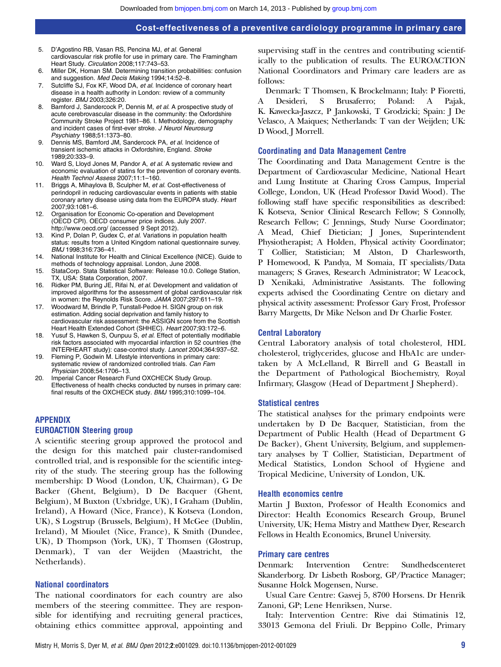- 5. D'Agostino RB, Vasan RS, Pencina MJ, et al. General cardiovascular risk profile for use in primary care. The Framingham Heart Study. Circulation 2008;117:743–53.
- 6. Miller DK, Homan SM. Determining transition probabilities: confusion and suggestion. Med Decis Making 1994;14:52–8.
- 7. Sutcliffe SJ, Fox KF, Wood DA, et al. Incidence of coronary heart disease in a health authority in London: review of a community register. BMJ 2003;326:20.
- 8. Bamford J, Sandercock P, Dennis M, et al. A prospective study of acute cerebrovascular disease in the community: the Oxfordshire Community Stroke Project 1981–86. I. Methodology, demography and incident cases of first-ever stroke. J Neurol Neurosurg Psychiatry 1988;51:1373–80.
- 9. Dennis MS, Bamford JM, Sandercock PA, et al. Incidence of transient ischemic attacks in Oxfordshire, England. Stroke 1989;20:333–9.
- Ward S, Lloyd Jones M, Pandor A, et al. A systematic review and economic evaluation of statins for the prevention of coronary events. Health Technol Assess 2007;11:1–160.
- 11. Briggs A, Mihaylova B, Sculpher M, et al. Cost-effectiveness of perindopril in reducing cardiovascular events in patients with stable coronary artery disease using data from the EUROPA study. Heart 2007;93:1081–6.
- 12. Organisation for Economic Co-operation and Development (OECD CPI). OECD consumer price indices. July 2007. <http://www.oecd.org/> (accessed 9 Sept 2012).
- 13. Kind P, Dolan P, Gudex C, et al. Variations in population health status: results from a United Kingdom national questionnaire survey. BMJ 1998;316:736–41.
- 14. National Institute for Health and Clinical Excellence (NICE). Guide to methods of technology appraisal. London, June 2008.
- 15. StataCorp. Stata Statistical Software: Release 10.0. College Station, TX, USA: Stata Corporation, 2007.
- 16. Ridker PM, Buring JE, Rifai N, et al. Development and validation of improved algorithms for the assessment of global cardiovascular risk in women: the Reynolds Risk Score. JAMA 2007;297:611–19.
- 17. Woodward M, Brindle P, Tunstall-Pedoe H. SIGN group on risk estimation. Adding social deprivation and family history to cardiovascular risk assessment: the ASSIGN score from the Scottish Heart Health Extended Cohort (SHHEC). Heart 2007;93:172-6.
- 18. Yusuf S, Hawken S, Ounpuu S, et al. Effect of potentially modifiable risk factors associated with myocardial infarction in 52 countries (the INTERHEART study): case-control study. Lancet 2004;364:937–52.
- 19. Fleming P, Godwin M. Lifestyle interventions in primary care: systematic review of randomized controlled trials. Can Fam Physician 2008;54:1706–13.
- 20. Imperial Cancer Research Fund OXCHECK Study Group. Effectiveness of health checks conducted by nurses in primary care: final results of the OXCHECK study. BMJ 1995;310:1099–104.

### APPENDIX

### EUROACTION Steering group

A scientific steering group approved the protocol and the design for this matched pair cluster-randomised controlled trial, and is responsible for the scientific integrity of the study. The steering group has the following membership: D Wood (London, UK, Chairman), G De Backer (Ghent, Belgium), D De Bacquer (Ghent, Belgium), M Buxton (Uxbridge, UK), I Graham (Dublin, Ireland), A Howard (Nice, France), K Kotseva (London, UK), S Logstrup (Brussels, Belgium), H McGee (Dublin, Ireland), M Mioulet (Nice, France), K Smith (Dundee, UK), D Thompson (York, UK), T Thomsen (Glostrup, Denmark), T van der Weijden (Maastricht, the Netherlands).

### National coordinators

The national coordinators for each country are also members of the steering committee. They are responsible for identifying and recruiting general practices, obtaining ethics committee approval, appointing and supervising staff in the centres and contributing scientifically to the publication of results. The EUROACTION National Coordinators and Primary care leaders are as follows:

Denmark: T Thomsen, K Brockelmann; Italy: P Fioretti, A Desideri, S Brusaferro; Poland: A Pajak, K. Kawecka-Jaszcz, P Jankowski, T Grodzicki; Spain: J De Velasco, A Maiques; Netherlands: T van der Weijden; UK: D Wood, J Morrell.

### Coordinating and Data Management Centre

The Coordinating and Data Management Centre is the Department of Cardiovascular Medicine, National Heart and Lung Institute at Charing Cross Campus, Imperial College, London, UK (Head Professor David Wood). The following staff have specific responsibilities as described: K Kotseva, Senior Clinical Research Fellow; S Connolly, Research Fellow; C Jennings, Study Nurse Coordinator; A Mead, Chief Dietician; J Jones, Superintendent Physiotherapist; A Holden, Physical activity Coordinator; T Collier, Statistician; M Alston, D Charlesworth, P Homewood, K Pandya, M Somaia, IT specialists/Data managers; S Graves, Research Administrator; W Leacock, D Xenikaki, Administrative Assistants. The following experts advised the Coordinating Centre on dietary and physical activity assessment: Professor Gary Frost, Professor Barry Margetts, Dr Mike Nelson and Dr Charlie Foster.

### Central Laboratory

Central Laboratory analysis of total cholesterol, HDL cholesterol, triglycerides, glucose and HbA1c are undertaken by A McLelland, R Birrell and G Beastall in the Department of Pathological Biochemistry, Royal Infirmary, Glasgow (Head of Department J Shepherd).

### Statistical centres

The statistical analyses for the primary endpoints were undertaken by D De Bacquer, Statistician, from the Department of Public Health (Head of Department G De Backer), Ghent University, Belgium, and supplementary analyses by T Collier, Statistician, Department of Medical Statistics, London School of Hygiene and Tropical Medicine, University of London, UK.

### Health economics centre

Martin J Buxton, Professor of Health Economics and Director: Health Economics Research Group, Brunel University, UK; Hema Mistry and Matthew Dyer, Research Fellows in Health Economics, Brunel University.

#### Primary care centres

Denmark: Intervention Centre: Sundhedscenteret Skanderborg. Dr Lisbeth Rosborg, GP/Practice Manager; Susanne Holck Mogensen, Nurse.

Usual Care Centre: Gasvej 5, 8700 Horsens. Dr Henrik Zanoni, GP; Lene Henriksen, Nurse.

Italy: Intervention Centre: Rive dai Stimatinis 12, 33013 Gemona del Friuli. Dr Beppino Colle, Primary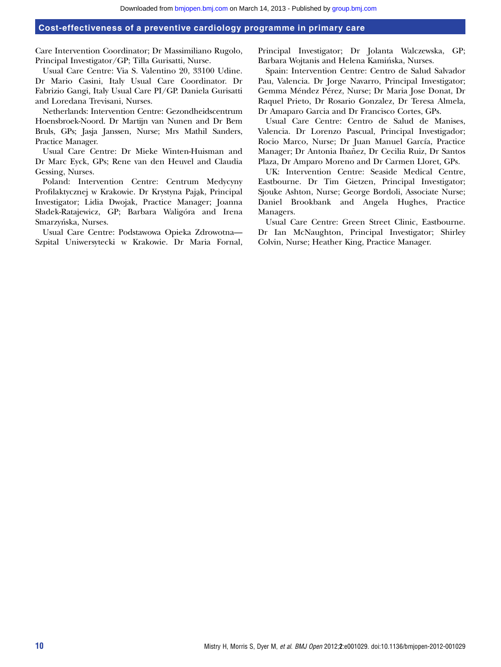Care Intervention Coordinator; Dr Massimiliano Rugolo, Principal Investigator/GP; Tilla Gurisatti, Nurse.

Usual Care Centre: Via S. Valentino 20, 33100 Udine. Dr Mario Casini, Italy Usual Care Coordinator. Dr Fabrizio Gangi, Italy Usual Care PI/GP. Daniela Gurisatti and Loredana Trevisani, Nurses.

Netherlands: Intervention Centre: Gezondheidscentrum Hoensbroek-Noord. Dr Martijn van Nunen and Dr Bem Bruls, GPs; Jasja Janssen, Nurse; Mrs Mathil Sanders, Practice Manager.

Usual Care Centre: Dr Mieke Winten-Huisman and Dr Marc Eyck, GPs; Rene van den Heuvel and Claudia Gessing, Nurses.

Poland: Intervention Centre: Centrum Medycyny Profilaktycznej w Krakowie. Dr Krystyna Pająk, Principal Investigator; Lidia Dwojak, Practice Manager; Joanna Sładek-Ratajewicz, GP; Barbara Waligóra and Irena Smarzyńska, Nurses.

Usual Care Centre: Podstawowa Opieka Zdrowotna— Szpital Uniwersytecki w Krakowie. Dr Maria Fornal, Principal Investigator; Dr Jolanta Walczewska, GP; Barbara Wojtanis and Helena Kaminska, Nurses.

Spain: Intervention Centre: Centro de Salud Salvador Pau, Valencia. Dr Jorge Navarro, Principal Investigator; Gemma Méndez Pérez, Nurse; Dr Maria Jose Donat, Dr Raquel Prieto, Dr Rosario Gonzalez, Dr Teresa Almela, Dr Amaparo Garcia and Dr Francisco Cortes, GPs.

Usual Care Centre: Centro de Salud de Manises, Valencia. Dr Lorenzo Pascual, Principal Investigador; Rocio Marco, Nurse; Dr Juan Manuel García, Practice Manager; Dr Antonia Ibañez, Dr Cecilia Ruiz, Dr Santos Plaza, Dr Amparo Moreno and Dr Carmen Lloret, GPs.

UK: Intervention Centre: Seaside Medical Centre, Eastbourne. Dr Tim Gietzen, Principal Investigator; Sjouke Ashton, Nurse; George Bordoli, Associate Nurse; Daniel Brookbank and Angela Hughes, Practice Managers.

Usual Care Centre: Green Street Clinic, Eastbourne. Dr Ian McNaughton, Principal Investigator; Shirley Colvin, Nurse; Heather King, Practice Manager.